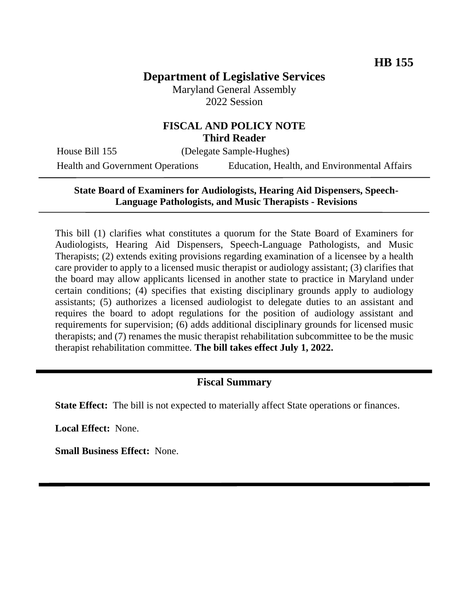# **Department of Legislative Services**

Maryland General Assembly 2022 Session

## **FISCAL AND POLICY NOTE Third Reader**

House Bill 155 (Delegate Sample-Hughes) Health and Government Operations Education, Health, and Environmental Affairs

## **State Board of Examiners for Audiologists, Hearing Aid Dispensers, Speech-Language Pathologists, and Music Therapists - Revisions**

This bill (1) clarifies what constitutes a quorum for the State Board of Examiners for Audiologists, Hearing Aid Dispensers, Speech-Language Pathologists, and Music Therapists; (2) extends exiting provisions regarding examination of a licensee by a health care provider to apply to a licensed music therapist or audiology assistant; (3) clarifies that the board may allow applicants licensed in another state to practice in Maryland under certain conditions; (4) specifies that existing disciplinary grounds apply to audiology assistants; (5) authorizes a licensed audiologist to delegate duties to an assistant and requires the board to adopt regulations for the position of audiology assistant and requirements for supervision; (6) adds additional disciplinary grounds for licensed music therapists; and (7) renames the music therapist rehabilitation subcommittee to be the music therapist rehabilitation committee. **The bill takes effect July 1, 2022.**

## **Fiscal Summary**

**State Effect:** The bill is not expected to materially affect State operations or finances.

**Local Effect:** None.

**Small Business Effect:** None.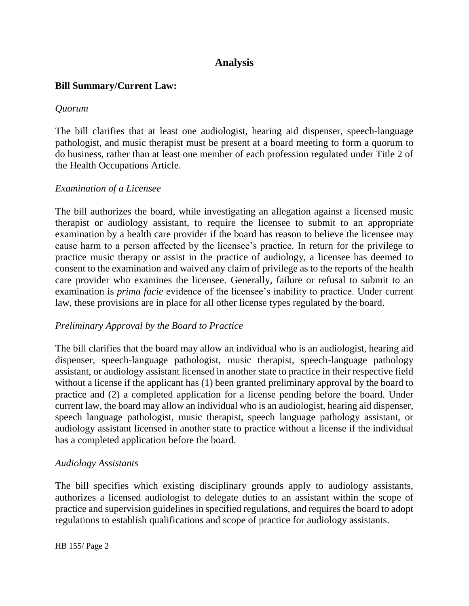# **Analysis**

### **Bill Summary/Current Law:**

#### *Quorum*

The bill clarifies that at least one audiologist, hearing aid dispenser, speech-language pathologist, and music therapist must be present at a board meeting to form a quorum to do business, rather than at least one member of each profession regulated under Title 2 of the Health Occupations Article.

#### *Examination of a Licensee*

The bill authorizes the board, while investigating an allegation against a licensed music therapist or audiology assistant, to require the licensee to submit to an appropriate examination by a health care provider if the board has reason to believe the licensee may cause harm to a person affected by the licensee's practice. In return for the privilege to practice music therapy or assist in the practice of audiology, a licensee has deemed to consent to the examination and waived any claim of privilege as to the reports of the health care provider who examines the licensee. Generally, failure or refusal to submit to an examination is *prima facie* evidence of the licensee's inability to practice. Under current law, these provisions are in place for all other license types regulated by the board.

#### *Preliminary Approval by the Board to Practice*

The bill clarifies that the board may allow an individual who is an audiologist, hearing aid dispenser, speech-language pathologist, music therapist, speech-language pathology assistant, or audiology assistant licensed in another state to practice in their respective field without a license if the applicant has (1) been granted preliminary approval by the board to practice and (2) a completed application for a license pending before the board. Under current law, the board may allow an individual who is an audiologist, hearing aid dispenser, speech language pathologist, music therapist, speech language pathology assistant, or audiology assistant licensed in another state to practice without a license if the individual has a completed application before the board.

#### *Audiology Assistants*

The bill specifies which existing disciplinary grounds apply to audiology assistants, authorizes a licensed audiologist to delegate duties to an assistant within the scope of practice and supervision guidelines in specified regulations, and requires the board to adopt regulations to establish qualifications and scope of practice for audiology assistants.